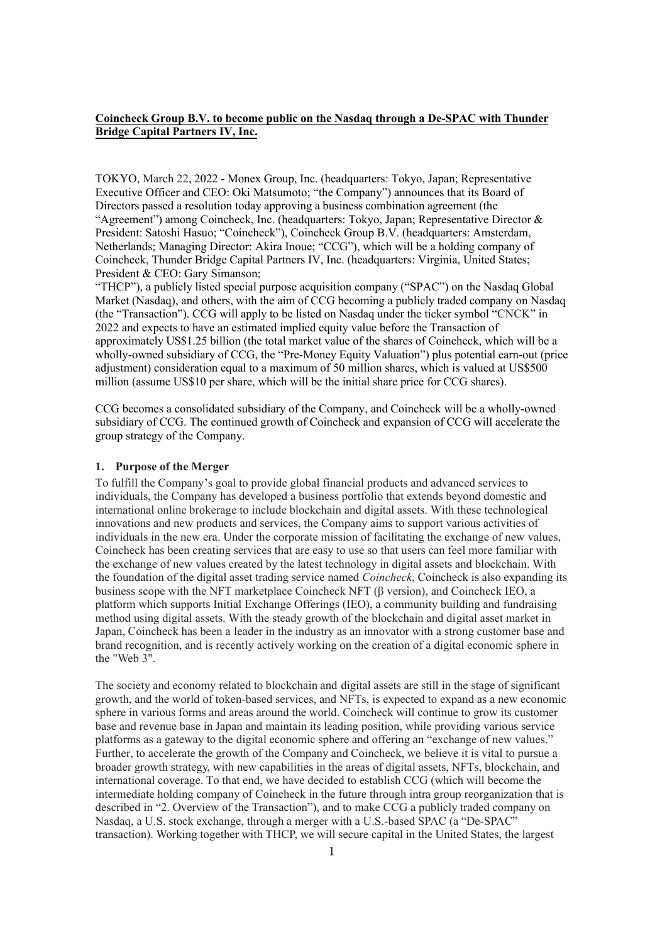## **Coincheck Group B.V. to become public on the Nasdaq through a De-SPAC with Thunder Bridge Capital Partners IV, Inc.**

TOKYO, March 22, 2022 - Monex Group, Inc. (headquarters: Tokyo, Japan; Representative Executive Officer and CEO: Oki Matsumoto; "the Company") announces that its Board of Directors passed a resolution today approving a business combination agreement (the "Agreement") among Coincheck, Inc. (headquarters: Tokyo, Japan; Representative Director & President: Satoshi Hasuo; "Coincheck"), Coincheck Group B.V. (headquarters: Amsterdam, Netherlands; Managing Director: Akira Inoue; "CCG"), which will be a holding company of Coincheck, Thunder Bridge Capital Partners Ⅳ, Inc. (headquarters: Virginia, United States; President & CEO: Gary Simanson;

"THCP"), a publicly listed special purpose acquisition company ("SPAC") on the Nasdaq Global Market (Nasdaq), and others, with the aim of CCG becoming a publicly traded company on Nasdaq (the "Transaction"). CCG will apply to be listed on Nasdaq under the ticker symbol "CNCK" in 2022 and expects to have an estimated implied equity value before the Transaction of approximately US\$1.25 billion (the total market value of the shares of Coincheck, which will be a wholly-owned subsidiary of CCG, the "Pre-Money Equity Valuation") plus potential earn-out (price adjustment) consideration equal to a maximum of 50 million shares, which is valued at US\$500 million (assume US\$10 per share, which will be the initial share price for CCG shares).

CCG becomes a consolidated subsidiary of the Company, and Coincheck will be a wholly-owned subsidiary of CCG. The continued growth of Coincheck and expansion of CCG will accelerate the group strategy of the Company.

## **1. Purpose of the Merger**

To fulfill the Company's goal to provide global financial products and advanced services to individuals, the Company has developed a business portfolio that extends beyond domestic and international online brokerage to include blockchain and digital assets. With these technological innovations and new products and services, the Company aims to support various activities of individuals in the new era. Under the corporate mission of facilitating the exchange of new values, Coincheck has been creating services that are easy to use so that users can feel more familiar with the exchange of new values created by the latest technology in digital assets and blockchain. With the foundation of the digital asset trading service named *Coincheck*, Coincheck is also expanding its business scope with the NFT marketplace Coincheck NFT (β version), and Coincheck IEO, a platform which supports Initial Exchange Offerings (IEO), a community building and fundraising method using digital assets. With the steady growth of the blockchain and digital asset market in Japan, Coincheck has been a leader in the industry as an innovator with a strong customer base and brand recognition, and is recently actively working on the creation of a digital economic sphere in the "Web 3".

The society and economy related to blockchain and digital assets are still in the stage of significant growth, and the world of token-based services, and NFTs, is expected to expand as a new economic sphere in various forms and areas around the world. Coincheck will continue to grow its customer base and revenue base in Japan and maintain its leading position, while providing various service platforms as a gateway to the digital economic sphere and offering an "exchange of new values." Further, to accelerate the growth of the Company and Coincheck, we believe it is vital to pursue a broader growth strategy, with new capabilities in the areas of digital assets, NFTs, blockchain, and international coverage. To that end, we have decided to establish CCG (which will become the intermediate holding company of Coincheck in the future through intra group reorganization that is described in "2. Overview of the Transaction"), and to make CCG a publicly traded company on Nasdaq, a U.S. stock exchange, through a merger with a U.S.-based SPAC (a "De-SPAC" transaction). Working together with THCP, we will secure capital in the United States, the largest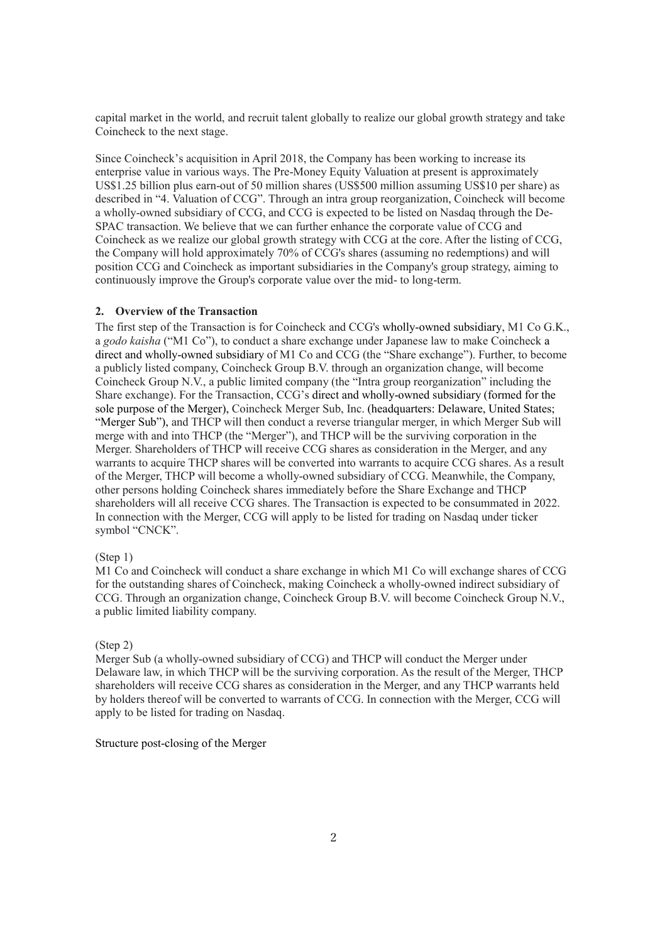capital market in the world, and recruit talent globally to realize our global growth strategy and take Coincheck to the next stage.

Since Coincheck's acquisition in April 2018, the Company has been working to increase its enterprise value in various ways. The Pre-Money Equity Valuation at present is approximately US\$1.25 billion plus earn-out of 50 million shares (US\$500 million assuming US\$10 per share) as described in "4. Valuation of CCG". Through an intra group reorganization, Coincheck will become a wholly-owned subsidiary of CCG, and CCG is expected to be listed on Nasdaq through the De-SPAC transaction. We believe that we can further enhance the corporate value of CCG and Coincheck as we realize our global growth strategy with CCG at the core. After the listing of CCG, the Company will hold approximately 70% of CCG's shares (assuming no redemptions) and will position CCG and Coincheck as important subsidiaries in the Company's group strategy, aiming to continuously improve the Group's corporate value over the mid- to long-term.

## **2. Overview of the Transaction**

The first step of the Transaction is for Coincheck and CCG's wholly-owned subsidiary, M1 Co G.K., a *godo kaisha* ("M1 Co"), to conduct a share exchange under Japanese law to make Coincheck a direct and wholly-owned subsidiary of M1 Co and CCG (the "Share exchange"). Further, to become a publicly listed company, Coincheck Group B.V. through an organization change, will become Coincheck Group N.V., a public limited company (the "Intra group reorganization" including the Share exchange). For the Transaction, CCG's direct and wholly-owned subsidiary (formed for the sole purpose of the Merger), Coincheck Merger Sub, Inc. (headquarters: Delaware, United States; "Merger Sub"), and THCP will then conduct a reverse triangular merger, in which Merger Sub will merge with and into THCP (the "Merger"), and THCP will be the surviving corporation in the Merger. Shareholders of THCP will receive CCG shares as consideration in the Merger, and any warrants to acquire THCP shares will be converted into warrants to acquire CCG shares. As a result of the Merger, THCP will become a wholly-owned subsidiary of CCG. Meanwhile, the Company, other persons holding Coincheck shares immediately before the Share Exchange and THCP shareholders will all receive CCG shares. The Transaction is expected to be consummated in 2022. In connection with the Merger, CCG will apply to be listed for trading on Nasdaq under ticker symbol "CNCK".

## (Step 1)

M1 Co and Coincheck will conduct a share exchange in which M1 Co will exchange shares of CCG for the outstanding shares of Coincheck, making Coincheck a wholly-owned indirect subsidiary of CCG. Through an organization change, Coincheck Group B.V. will become Coincheck Group N.V., a public limited liability company.

## (Step 2)

Merger Sub (a wholly-owned subsidiary of CCG) and THCP will conduct the Merger under Delaware law, in which THCP will be the surviving corporation. As the result of the Merger, THCP shareholders will receive CCG shares as consideration in the Merger, and any THCP warrants held by holders thereof will be converted to warrants of CCG. In connection with the Merger, CCG will apply to be listed for trading on Nasdaq.

## Structure post-closing of the Merger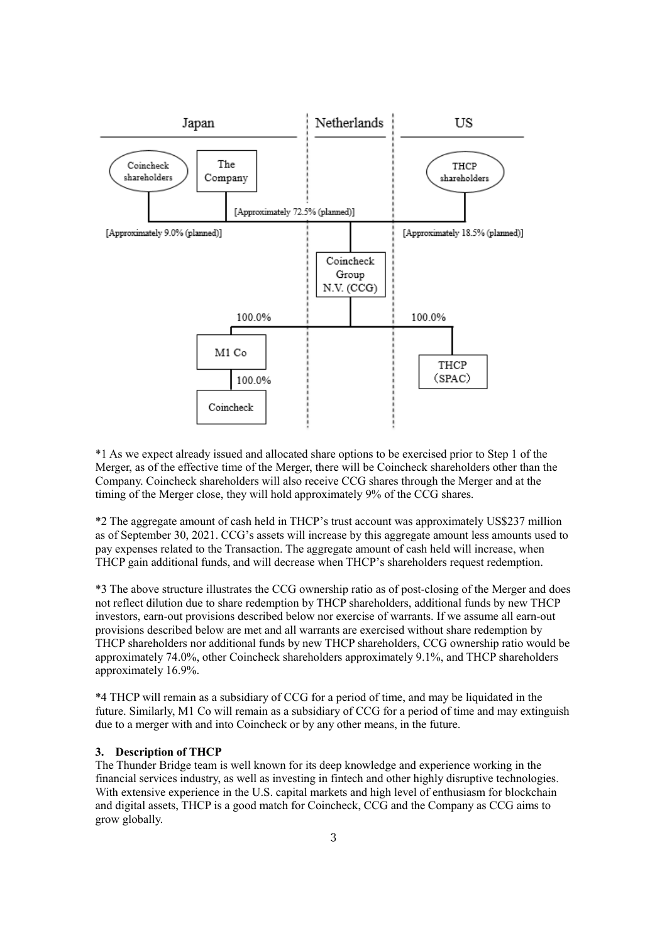

\*1 As we expect already issued and allocated share options to be exercised prior to Step 1 of the Merger, as of the effective time of the Merger, there will be Coincheck shareholders other than the Company. Coincheck shareholders will also receive CCG shares through the Merger and at the timing of the Merger close, they will hold approximately 9% of the CCG shares.

\*2 The aggregate amount of cash held in THCP's trust account was approximately US\$237 million as of September 30, 2021. CCG's assets will increase by this aggregate amount less amounts used to pay expenses related to the Transaction. The aggregate amount of cash held will increase, when THCP gain additional funds, and will decrease when THCP's shareholders request redemption.

\*3 The above structure illustrates the CCG ownership ratio as of post-closing of the Merger and does not reflect dilution due to share redemption by THCP shareholders, additional funds by new THCP investors, earn-out provisions described below nor exercise of warrants. If we assume all earn-out provisions described below are met and all warrants are exercised without share redemption by THCP shareholders nor additional funds by new THCP shareholders, CCG ownership ratio would be approximately 74.0%, other Coincheck shareholders approximately 9.1%, and THCP shareholders approximately 16.9%.

\*4 THCP will remain as a subsidiary of CCG for a period of time, and may be liquidated in the future. Similarly, M1 Co will remain as a subsidiary of CCG for a period of time and may extinguish due to a merger with and into Coincheck or by any other means, in the future.

## **3. Description of THCP**

The Thunder Bridge team is well known for its deep knowledge and experience working in the financial services industry, as well as investing in fintech and other highly disruptive technologies. With extensive experience in the U.S. capital markets and high level of enthusiasm for blockchain and digital assets, THCP is a good match for Coincheck, CCG and the Company as CCG aims to grow globally.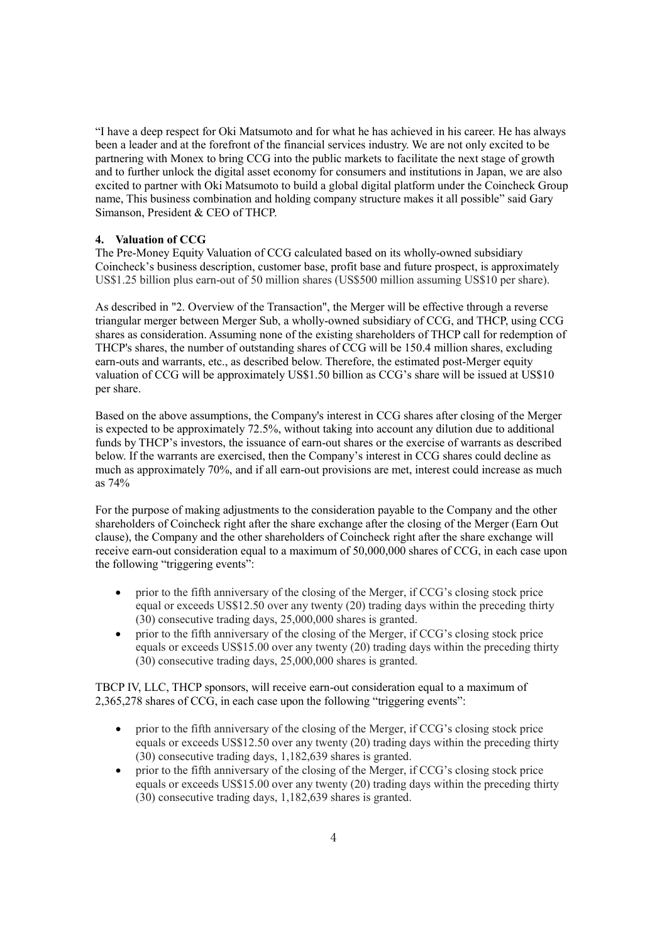"I have a deep respect for Oki Matsumoto and for what he has achieved in his career. He has always been a leader and at the forefront of the financial services industry. We are not only excited to be partnering with Monex to bring CCG into the public markets to facilitate the next stage of growth and to further unlock the digital asset economy for consumers and institutions in Japan, we are also excited to partner with Oki Matsumoto to build a global digital platform under the Coincheck Group name, This business combination and holding company structure makes it all possible" said Gary Simanson, President & CEO of THCP.

## **4. Valuation of CCG**

The Pre-Money Equity Valuation of CCG calculated based on its wholly-owned subsidiary Coincheck's business description, customer base, profit base and future prospect, is approximately US\$1.25 billion plus earn-out of 50 million shares (US\$500 million assuming US\$10 per share).

As described in "2. Overview of the Transaction", the Merger will be effective through a reverse triangular merger between Merger Sub, a wholly-owned subsidiary of CCG, and THCP, using CCG shares as consideration. Assuming none of the existing shareholders of THCP call for redemption of THCP's shares, the number of outstanding shares of CCG will be 150.4 million shares, excluding earn-outs and warrants, etc., as described below. Therefore, the estimated post-Merger equity valuation of CCG will be approximately US\$1.50 billion as CCG's share will be issued at US\$10 per share.

Based on the above assumptions, the Company's interest in CCG shares after closing of the Merger is expected to be approximately 72.5%, without taking into account any dilution due to additional funds by THCP's investors, the issuance of earn-out shares or the exercise of warrants as described below. If the warrants are exercised, then the Company's interest in CCG shares could decline as much as approximately 70%, and if all earn-out provisions are met, interest could increase as much as 74%

For the purpose of making adjustments to the consideration payable to the Company and the other shareholders of Coincheck right after the share exchange after the closing of the Merger (Earn Out clause), the Company and the other shareholders of Coincheck right after the share exchange will receive earn-out consideration equal to a maximum of 50,000,000 shares of CCG, in each case upon the following "triggering events":

- prior to the fifth anniversary of the closing of the Merger, if CCG's closing stock price equal or exceeds US\$12.50 over any twenty (20) trading days within the preceding thirty (30) consecutive trading days, 25,000,000 shares is granted.
- prior to the fifth anniversary of the closing of the Merger, if CCG's closing stock price equals or exceeds US\$15.00 over any twenty (20) trading days within the preceding thirty (30) consecutive trading days, 25,000,000 shares is granted.

TBCP IV, LLC, THCP sponsors, will receive earn-out consideration equal to a maximum of 2,365,278 shares of CCG, in each case upon the following "triggering events":

- prior to the fifth anniversary of the closing of the Merger, if CCG's closing stock price equals or exceeds US\$12.50 over any twenty (20) trading days within the preceding thirty (30) consecutive trading days, 1,182,639 shares is granted.
- prior to the fifth anniversary of the closing of the Merger, if CCG's closing stock price equals or exceeds US\$15.00 over any twenty (20) trading days within the preceding thirty (30) consecutive trading days, 1,182,639 shares is granted.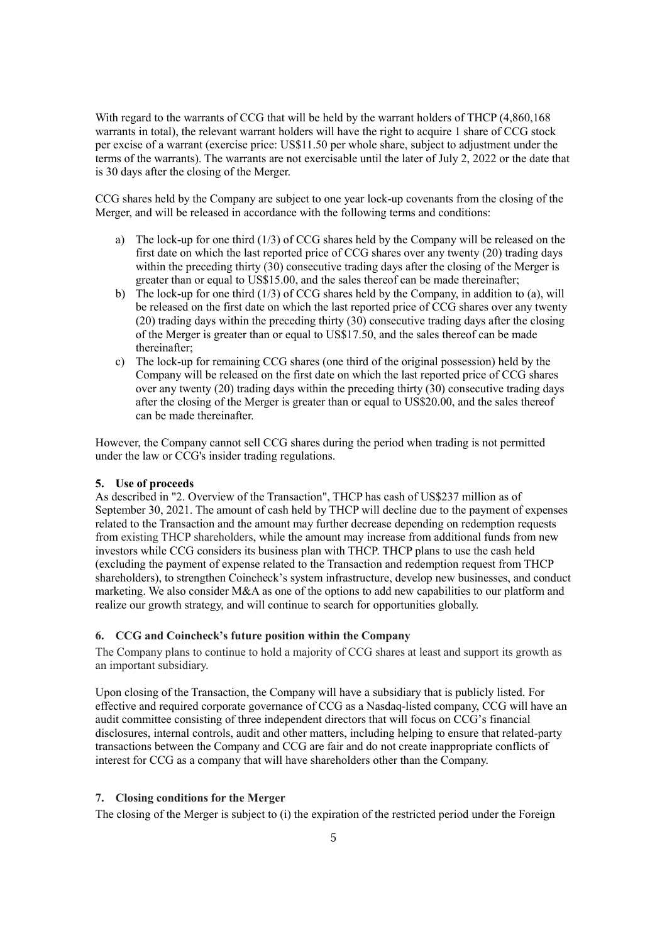With regard to the warrants of CCG that will be held by the warrant holders of THCP (4,860,168) warrants in total), the relevant warrant holders will have the right to acquire 1 share of CCG stock per excise of a warrant (exercise price: US\$11.50 per whole share, subject to adjustment under the terms of the warrants). The warrants are not exercisable until the later of July 2, 2022 or the date that is 30 days after the closing of the Merger.

CCG shares held by the Company are subject to one year lock-up covenants from the closing of the Merger, and will be released in accordance with the following terms and conditions:

- a) The lock-up for one third (1/3) of CCG shares held by the Company will be released on the first date on which the last reported price of CCG shares over any twenty (20) trading days within the preceding thirty  $(30)$  consecutive trading days after the closing of the Merger is greater than or equal to US\$15.00, and the sales thereof can be made thereinafter;
- b) The lock-up for one third  $(1/3)$  of CCG shares held by the Company, in addition to (a), will be released on the first date on which the last reported price of CCG shares over any twenty (20) trading days within the preceding thirty (30) consecutive trading days after the closing of the Merger is greater than or equal to US\$17.50, and the sales thereof can be made thereinafter;
- c) The lock-up for remaining CCG shares (one third of the original possession) held by the Company will be released on the first date on which the last reported price of CCG shares over any twenty (20) trading days within the preceding thirty (30) consecutive trading days after the closing of the Merger is greater than or equal to US\$20.00, and the sales thereof can be made thereinafter.

However, the Company cannot sell CCG shares during the period when trading is not permitted under the law or CCG's insider trading regulations.

## **5. Use of proceeds**

As described in "2. Overview of the Transaction", THCP has cash of US\$237 million as of September 30, 2021. The amount of cash held by THCP will decline due to the payment of expenses related to the Transaction and the amount may further decrease depending on redemption requests from existing THCP shareholders, while the amount may increase from additional funds from new investors while CCG considers its business plan with THCP. THCP plans to use the cash held (excluding the payment of expense related to the Transaction and redemption request from THCP shareholders), to strengthen Coincheck's system infrastructure, develop new businesses, and conduct marketing. We also consider M&A as one of the options to add new capabilities to our platform and realize our growth strategy, and will continue to search for opportunities globally.

## **6. CCG and Coincheck's future position within the Company**

The Company plans to continue to hold a majority of CCG shares at least and support its growth as an important subsidiary.

Upon closing of the Transaction, the Company will have a subsidiary that is publicly listed. For effective and required corporate governance of CCG as a Nasdaq-listed company, CCG will have an audit committee consisting of three independent directors that will focus on CCG's financial disclosures, internal controls, audit and other matters, including helping to ensure that related-party transactions between the Company and CCG are fair and do not create inappropriate conflicts of interest for CCG as a company that will have shareholders other than the Company.

#### **7. Closing conditions for the Merger**

The closing of the Merger is subject to (i) the expiration of the restricted period under the Foreign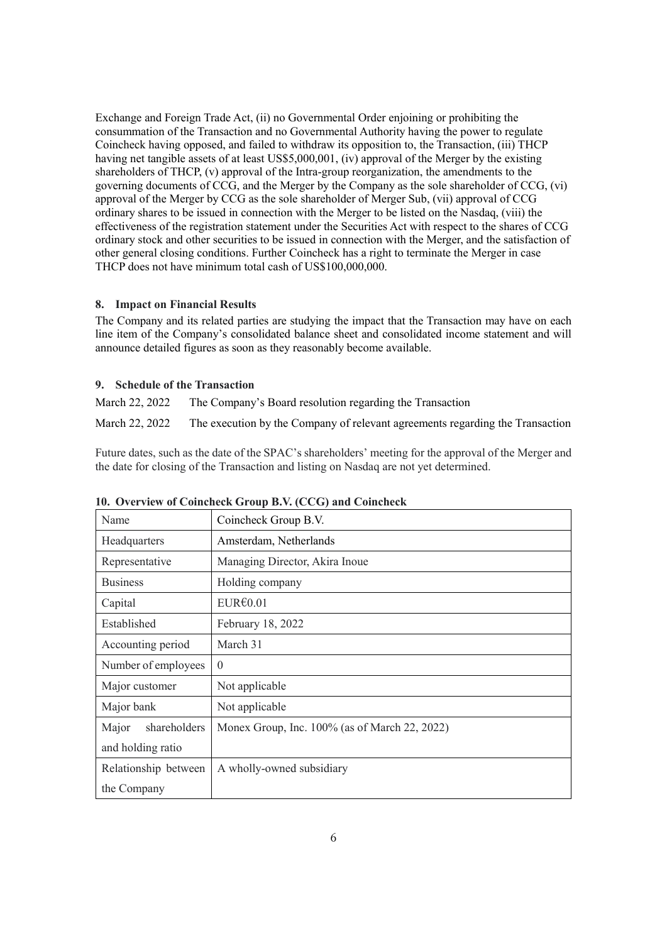Exchange and Foreign Trade Act, (ii) no Governmental Order enjoining or prohibiting the consummation of the Transaction and no Governmental Authority having the power to regulate Coincheck having opposed, and failed to withdraw its opposition to, the Transaction, (iii) THCP having net tangible assets of at least US\$5,000,001, (iv) approval of the Merger by the existing shareholders of THCP, (v) approval of the Intra-group reorganization, the amendments to the governing documents of CCG, and the Merger by the Company as the sole shareholder of CCG, (vi) approval of the Merger by CCG as the sole shareholder of Merger Sub, (vii) approval of CCG ordinary shares to be issued in connection with the Merger to be listed on the Nasdaq, (viii) the effectiveness of the registration statement under the Securities Act with respect to the shares of CCG ordinary stock and other securities to be issued in connection with the Merger, and the satisfaction of other general closing conditions. Further Coincheck has a right to terminate the Merger in case THCP does not have minimum total cash of US\$100,000,000.

## **8. Impact on Financial Results**

The Company and its related parties are studying the impact that the Transaction may have on each line item of the Company's consolidated balance sheet and consolidated income statement and will announce detailed figures as soon as they reasonably become available.

## **9. Schedule of the Transaction**

March 22, 2022 The Company's Board resolution regarding the Transaction March 22, 2022 The execution by the Company of relevant agreements regarding the Transaction

Future dates, such as the date of the SPAC's shareholders' meeting for the approval of the Merger and the date for closing of the Transaction and listing on Nasdaq are not yet determined.

| Name                  | Coincheck Group B.V.                          |  |
|-----------------------|-----------------------------------------------|--|
| Headquarters          | Amsterdam, Netherlands                        |  |
| Representative        | Managing Director, Akira Inoue                |  |
| <b>Business</b>       | Holding company                               |  |
| Capital               | EUR@.01                                       |  |
| Established           | February 18, 2022                             |  |
| Accounting period     | March 31                                      |  |
| Number of employees   | $\theta$                                      |  |
| Major customer        | Not applicable                                |  |
| Major bank            | Not applicable                                |  |
| shareholders<br>Major | Monex Group, Inc. 100% (as of March 22, 2022) |  |
| and holding ratio     |                                               |  |
| Relationship between  | A wholly-owned subsidiary                     |  |
| the Company           |                                               |  |

**10. Overview of Coincheck Group B.V. (CCG) and Coincheck**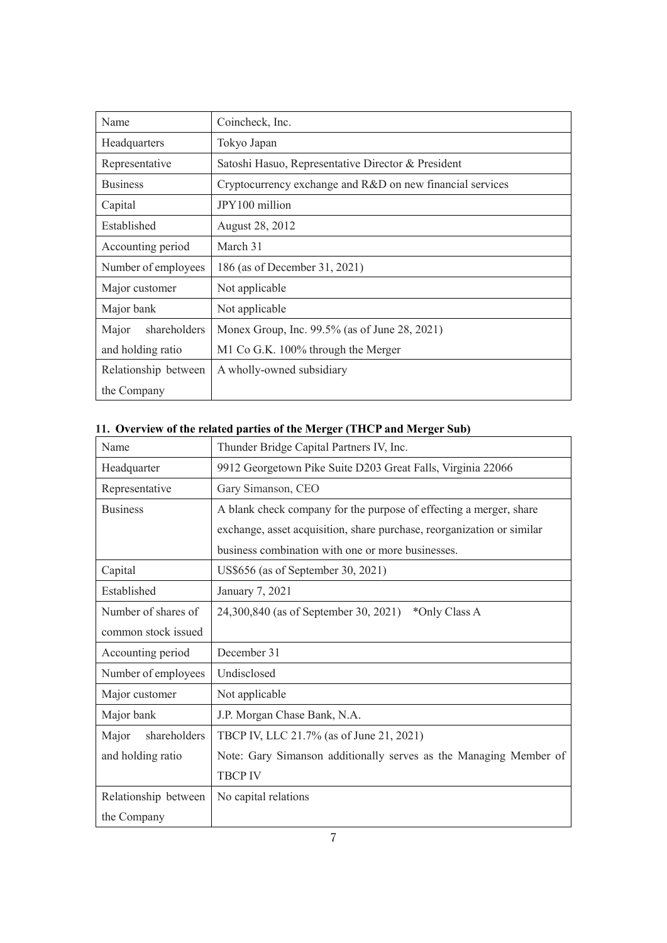| Name                  | Coincheck, Inc.                                           |  |
|-----------------------|-----------------------------------------------------------|--|
| Headquarters          | Tokyo Japan                                               |  |
| Representative        | Satoshi Hasuo, Representative Director & President        |  |
| <b>Business</b>       | Cryptocurrency exchange and R&D on new financial services |  |
| Capital               | JPY100 million                                            |  |
| Established           | August 28, 2012                                           |  |
| Accounting period     | March 31                                                  |  |
| Number of employees   | 186 (as of December 31, 2021)                             |  |
| Major customer        | Not applicable                                            |  |
| Major bank            | Not applicable                                            |  |
| shareholders<br>Major | Monex Group, Inc. 99.5% (as of June 28, 2021)             |  |
| and holding ratio     | M1 Co G.K. 100% through the Merger                        |  |
| Relationship between  | A wholly-owned subsidiary                                 |  |
| the Company           |                                                           |  |

# **11. Overview of the related parties of the Merger (THCP and Merger Sub)**

| Name                  | Thunder Bridge Capital Partners IV, Inc.                               |  |  |
|-----------------------|------------------------------------------------------------------------|--|--|
| Headquarter           | 9912 Georgetown Pike Suite D203 Great Falls, Virginia 22066            |  |  |
| Representative        | Gary Simanson, CEO                                                     |  |  |
| <b>Business</b>       | A blank check company for the purpose of effecting a merger, share     |  |  |
|                       | exchange, asset acquisition, share purchase, reorganization or similar |  |  |
|                       | business combination with one or more businesses.                      |  |  |
| Capital               | US\$656 (as of September 30, 2021)                                     |  |  |
| Established           | January 7, 2021                                                        |  |  |
| Number of shares of   | 24,300,840 (as of September 30, 2021)<br>*Only Class A                 |  |  |
| common stock issued   |                                                                        |  |  |
| Accounting period     | December 31                                                            |  |  |
| Number of employees   | Undisclosed                                                            |  |  |
| Major customer        | Not applicable                                                         |  |  |
| Major bank            | J.P. Morgan Chase Bank, N.A.                                           |  |  |
| shareholders<br>Major | TBCP IV, LLC 21.7% (as of June 21, 2021)                               |  |  |
| and holding ratio     | Note: Gary Simanson additionally serves as the Managing Member of      |  |  |
|                       | <b>TBCP IV</b>                                                         |  |  |
| Relationship between  | No capital relations                                                   |  |  |
| the Company           |                                                                        |  |  |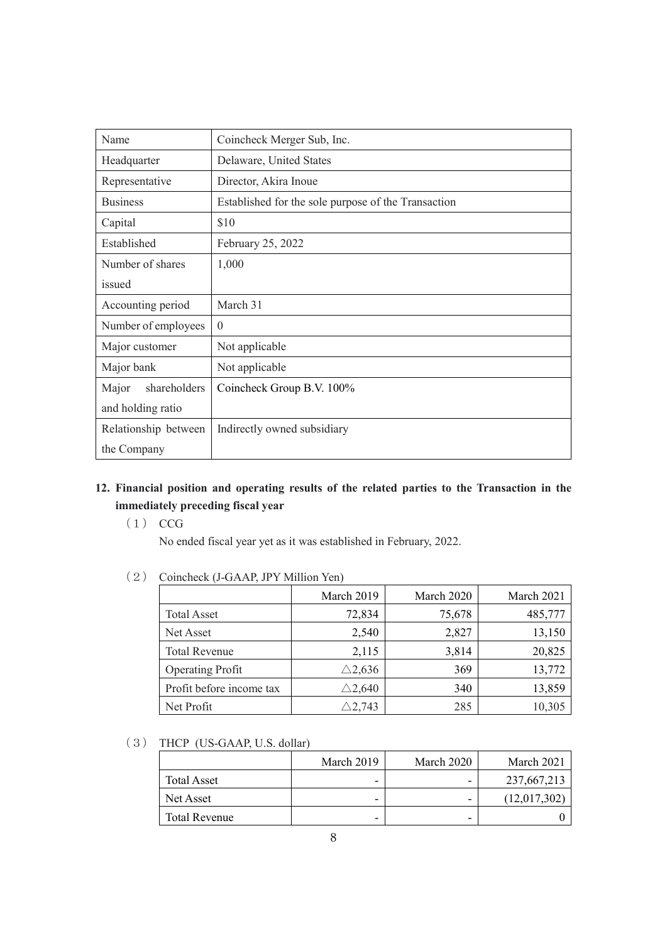| Name                  | Coincheck Merger Sub, Inc.                          |  |
|-----------------------|-----------------------------------------------------|--|
| Headquarter           | Delaware, United States                             |  |
| Representative        | Director, Akira Inoue                               |  |
| <b>Business</b>       | Established for the sole purpose of the Transaction |  |
| Capital               | \$10                                                |  |
| Established           | February 25, 2022                                   |  |
| Number of shares      | 1,000                                               |  |
| issued                |                                                     |  |
| Accounting period     | March 31                                            |  |
| Number of employees   | $\theta$                                            |  |
| Major customer        | Not applicable                                      |  |
| Major bank            | Not applicable                                      |  |
| shareholders<br>Major | Coincheck Group B.V. 100%                           |  |
| and holding ratio     |                                                     |  |
| Relationship between  | Indirectly owned subsidiary                         |  |
| the Company           |                                                     |  |

## **12. Financial position and operating results of the related parties to the Transaction in the immediately preceding fiscal year**

(1) CCG

No ended fiscal year yet as it was established in February, 2022.

(2) Coincheck (J-GAAP, JPY Million Yen)

|                          | March 2019        | March 2020 | March 2021 |
|--------------------------|-------------------|------------|------------|
| <b>Total Asset</b>       | 72,834            | 75,678     | 485,777    |
| Net Asset                | 2,540             | 2,827      | 13,150     |
| <b>Total Revenue</b>     | 2,115             | 3,814      | 20,825     |
| <b>Operating Profit</b>  | $\triangle$ 2,636 | 369        | 13,772     |
| Profit before income tax | $\triangle$ 2,640 | 340        | 13,859     |
| Net Profit               | $\triangle$ 2,743 | 285        | 10,305     |

(3) THCP (US-GAAP, U.S. dollar)

|                    | March 2019 | March 2020 | March 2021   |
|--------------------|------------|------------|--------------|
| <b>Total Asset</b> |            | -          | 237,667,213  |
| Net Asset          | -          | -          | (12,017,302) |
| Total Revenue      | -          | -          |              |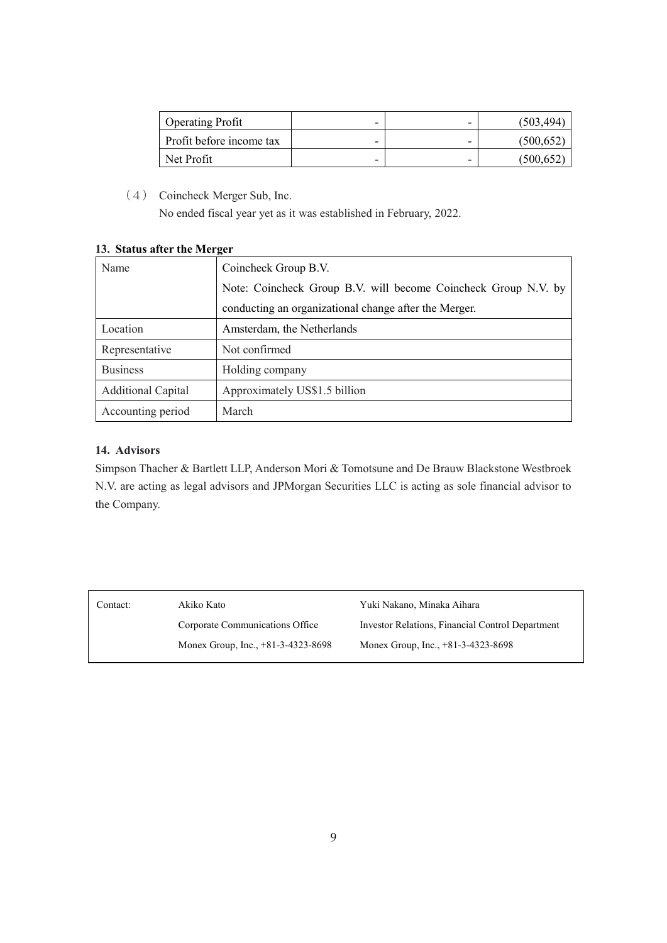| <b>Operating Profit</b>  | - | - | (503, 494) |
|--------------------------|---|---|------------|
| Profit before income tax | - | - | (500, 652) |
| Net Profit               | - | - | (500,652   |

(4) Coincheck Merger Sub, Inc.

No ended fiscal year yet as it was established in February, 2022.

|  |  |  |  | 13. Status after the Merger |
|--|--|--|--|-----------------------------|
|--|--|--|--|-----------------------------|

| Name                      | Coincheck Group B.V.                                           |  |  |
|---------------------------|----------------------------------------------------------------|--|--|
|                           | Note: Coincheck Group B.V. will become Coincheck Group N.V. by |  |  |
|                           | conducting an organizational change after the Merger.          |  |  |
| Location                  | Amsterdam, the Netherlands                                     |  |  |
| Representative            | Not confirmed                                                  |  |  |
| <b>Business</b>           | Holding company                                                |  |  |
| <b>Additional Capital</b> | Approximately US\$1.5 billion                                  |  |  |
| Accounting period         | March                                                          |  |  |

## **14. Advisors**

Simpson Thacher & Bartlett LLP, Anderson Mori & Tomotsune and De Brauw Blackstone Westbroek N.V. are acting as legal advisors and JPMorgan Securities LLC is acting as sole financial advisor to the Company.

| Contact: | Akiko Kato                           | Yuki Nakano, Minaka Aihara                       |
|----------|--------------------------------------|--------------------------------------------------|
|          | Corporate Communications Office      | Investor Relations, Financial Control Department |
|          | Monex Group, Inc., $+81-3-4323-8698$ | Monex Group, Inc., +81-3-4323-8698               |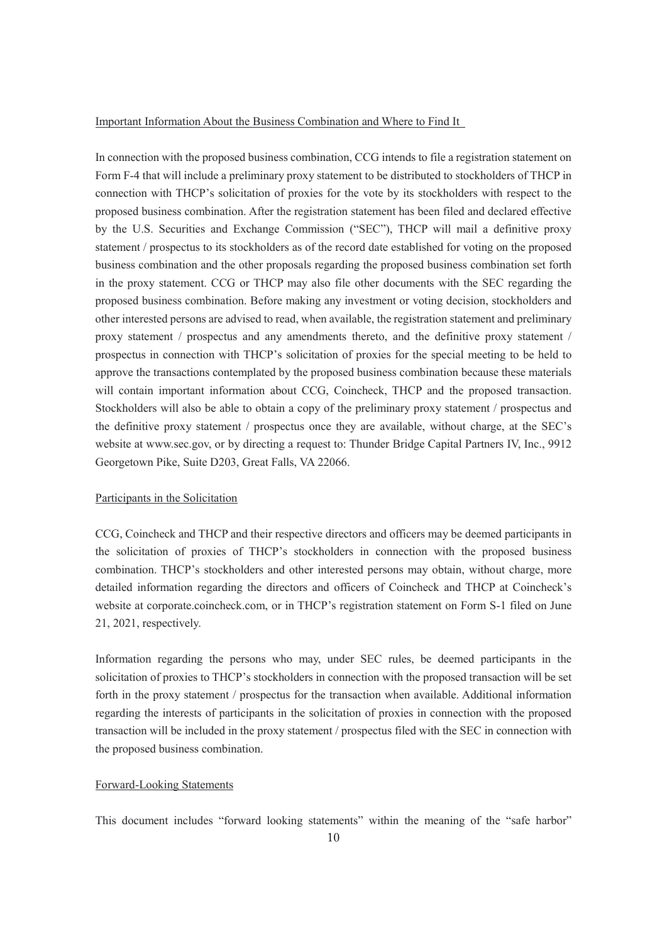#### Important Information About the Business Combination and Where to Find It

In connection with the proposed business combination, CCG intends to file a registration statement on Form F-4 that will include a preliminary proxy statement to be distributed to stockholders of THCP in connection with THCP's solicitation of proxies for the vote by its stockholders with respect to the proposed business combination. After the registration statement has been filed and declared effective by the U.S. Securities and Exchange Commission ("SEC"), THCP will mail a definitive proxy statement / prospectus to its stockholders as of the record date established for voting on the proposed business combination and the other proposals regarding the proposed business combination set forth in the proxy statement. CCG or THCP may also file other documents with the SEC regarding the proposed business combination. Before making any investment or voting decision, stockholders and other interested persons are advised to read, when available, the registration statement and preliminary proxy statement / prospectus and any amendments thereto, and the definitive proxy statement / prospectus in connection with THCP's solicitation of proxies for the special meeting to be held to approve the transactions contemplated by the proposed business combination because these materials will contain important information about CCG, Coincheck, THCP and the proposed transaction. Stockholders will also be able to obtain a copy of the preliminary proxy statement / prospectus and the definitive proxy statement / prospectus once they are available, without charge, at the SEC's website at www.sec.gov, or by directing a request to: Thunder Bridge Capital Partners IV, Inc., 9912 Georgetown Pike, Suite D203, Great Falls, VA 22066.

## Participants in the Solicitation

CCG, Coincheck and THCP and their respective directors and officers may be deemed participants in the solicitation of proxies of THCP's stockholders in connection with the proposed business combination. THCP's stockholders and other interested persons may obtain, without charge, more detailed information regarding the directors and officers of Coincheck and THCP at Coincheck's website at corporate.coincheck.com, or in THCP's registration statement on Form S-1 filed on June 21, 2021, respectively.

Information regarding the persons who may, under SEC rules, be deemed participants in the solicitation of proxies to THCP's stockholders in connection with the proposed transaction will be set forth in the proxy statement / prospectus for the transaction when available. Additional information regarding the interests of participants in the solicitation of proxies in connection with the proposed transaction will be included in the proxy statement / prospectus filed with the SEC in connection with the proposed business combination.

#### Forward-Looking Statements

This document includes "forward looking statements" within the meaning of the "safe harbor"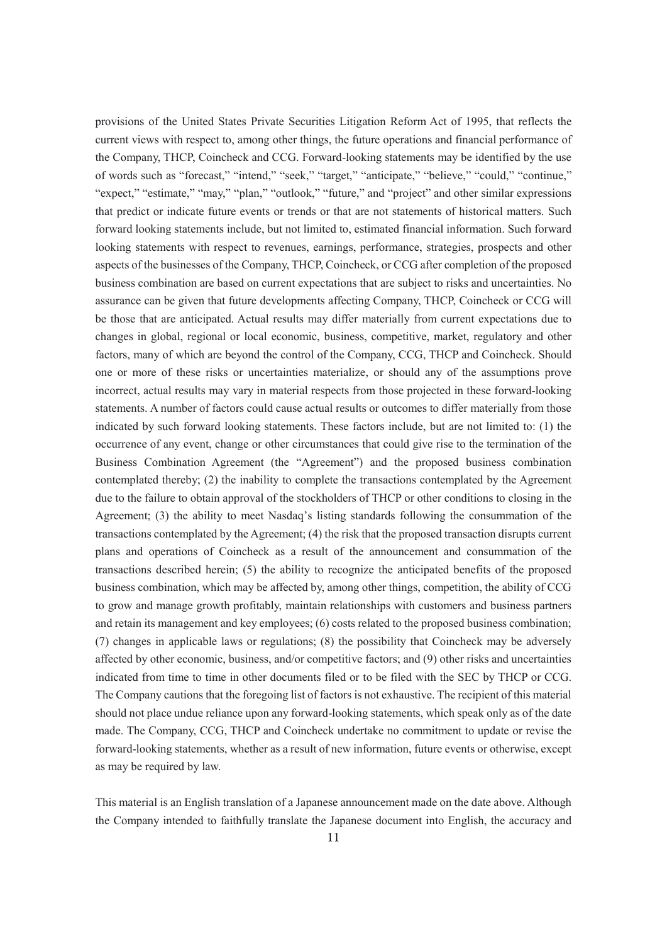provisions of the United States Private Securities Litigation Reform Act of 1995, that reflects the current views with respect to, among other things, the future operations and financial performance of the Company, THCP, Coincheck and CCG. Forward-looking statements may be identified by the use of words such as "forecast," "intend," "seek," "target," "anticipate," "believe," "could," "continue," "expect," "estimate," "may," "plan," "outlook," "future," and "project" and other similar expressions that predict or indicate future events or trends or that are not statements of historical matters. Such forward looking statements include, but not limited to, estimated financial information. Such forward looking statements with respect to revenues, earnings, performance, strategies, prospects and other aspects of the businesses of the Company, THCP, Coincheck, or CCG after completion of the proposed business combination are based on current expectations that are subject to risks and uncertainties. No assurance can be given that future developments affecting Company, THCP, Coincheck or CCG will be those that are anticipated. Actual results may differ materially from current expectations due to changes in global, regional or local economic, business, competitive, market, regulatory and other factors, many of which are beyond the control of the Company, CCG, THCP and Coincheck. Should one or more of these risks or uncertainties materialize, or should any of the assumptions prove incorrect, actual results may vary in material respects from those projected in these forward-looking statements. A number of factors could cause actual results or outcomes to differ materially from those indicated by such forward looking statements. These factors include, but are not limited to: (1) the occurrence of any event, change or other circumstances that could give rise to the termination of the Business Combination Agreement (the "Agreement") and the proposed business combination contemplated thereby; (2) the inability to complete the transactions contemplated by the Agreement due to the failure to obtain approval of the stockholders of THCP or other conditions to closing in the Agreement; (3) the ability to meet Nasdaq's listing standards following the consummation of the transactions contemplated by the Agreement; (4) the risk that the proposed transaction disrupts current plans and operations of Coincheck as a result of the announcement and consummation of the transactions described herein; (5) the ability to recognize the anticipated benefits of the proposed business combination, which may be affected by, among other things, competition, the ability of CCG to grow and manage growth profitably, maintain relationships with customers and business partners and retain its management and key employees; (6) costs related to the proposed business combination; (7) changes in applicable laws or regulations; (8) the possibility that Coincheck may be adversely affected by other economic, business, and/or competitive factors; and (9) other risks and uncertainties indicated from time to time in other documents filed or to be filed with the SEC by THCP or CCG. The Company cautions that the foregoing list of factors is not exhaustive. The recipient of this material should not place undue reliance upon any forward-looking statements, which speak only as of the date made. The Company, CCG, THCP and Coincheck undertake no commitment to update or revise the forward-looking statements, whether as a result of new information, future events or otherwise, except as may be required by law.

This material is an English translation of a Japanese announcement made on the date above. Although the Company intended to faithfully translate the Japanese document into English, the accuracy and